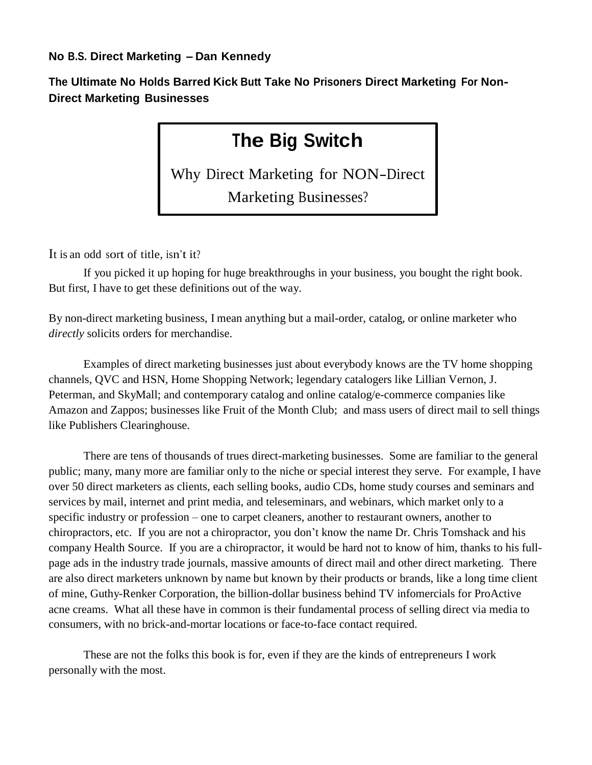#### **No B.S. Direct Marketing – Dan Kennedy**

**The Ultimate No Holds Barred Kick Butt Take No Prisoners Direct Marketing For Non-Direct Marketing Businesses**

# **The Big Switch**

Why Direct Marketing for NON-Direct Marketing Businesses?

It is an odd sort of title, isn't it?

If you picked it up hoping for huge breakthroughs in your business, you bought the right book. But first, I have to get these definitions out of the way.

By non-direct marketing business, I mean anything but a mail-order, catalog, or online marketer who *directly* solicits orders for merchandise.

Examples of direct marketing businesses just about everybody knows are the TV home shopping channels, QVC and HSN, Home Shopping Network; legendary catalogers like Lillian Vernon, J. Peterman, and SkyMall; and contemporary catalog and online catalog/e-commerce companies like Amazon and Zappos; businesses like Fruit of the Month Club; and mass users of direct mail to sell things like Publishers Clearinghouse.

There are tens of thousands of trues direct-marketing businesses. Some are familiar to the general public; many, many more are familiar only to the niche or special interest they serve. For example, I have over 50 direct marketers as clients, each selling books, audio CDs, home study courses and seminars and services by mail, internet and print media, and teleseminars, and webinars, which market only to a specific industry or profession – one to carpet cleaners, another to restaurant owners, another to chiropractors, etc. If you are not a chiropractor, you don't know the name Dr. Chris Tomshack and his company Health Source. If you are a chiropractor, it would be hard not to know of him, thanks to his fullpage ads in the industry trade journals, massive amounts of direct mail and other direct marketing. There are also direct marketers unknown by name but known by their products or brands, like a long time client of mine, Guthy-Renker Corporation, the billion-dollar business behind TV infomercials for ProActive acne creams. What all these have in common is their fundamental process of selling direct via media to consumers, with no brick-and-mortar locations or face-to-face contact required.

These are not the folks this book is for, even if they are the kinds of entrepreneurs I work personally with the most.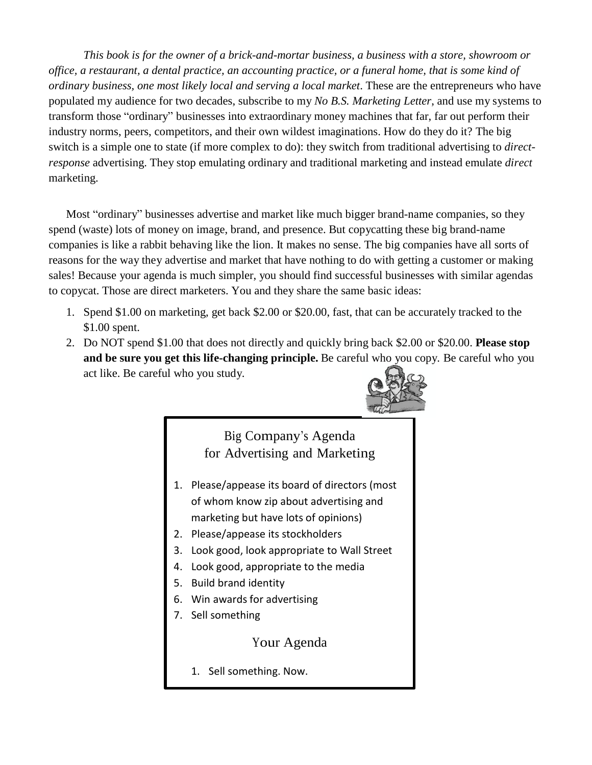*This book is for the owner of a brick-and-mortar business, a business with a store, showroom or office, a restaurant, a dental practice, an accounting practice, or a funeral home, that is some kind of ordinary business, one most likely local and serving a local market*. These are the entrepreneurs who have populated my audience for two decades, subscribe to my *No B.S. Marketing Letter*, and use my systems to transform those "ordinary" businesses into extraordinary money machines that far, far out perform their industry norms, peers, competitors, and their own wildest imaginations. How do they do it? The big switch is a simple one to state (if more complex to do): they switch from traditional advertising to *directresponse* advertising. They stop emulating ordinary and traditional marketing and instead emulate *direct*  marketing.

Most "ordinary" businesses advertise and market like much bigger brand-name companies, so they spend (waste) lots of money on image, brand, and presence. But copycatting these big brand-name companies is like a rabbit behaving like the lion. It makes no sense. The big companies have all sorts of reasons for the way they advertise and market that have nothing to do with getting a customer or making sales! Because your agenda is much simpler, you should find successful businesses with similar agendas to copycat. Those are direct marketers. You and they share the same basic ideas:

- 1. Spend \$1.00 on marketing, get back \$2.00 or \$20.00, fast, that can be accurately tracked to the \$1.00 spent.
- 2. Do NOT spend \$1.00 that does not directly and quickly bring back \$2.00 or \$20.00. **Please stop and be sure you get this life-changing principle.** Be careful who you copy. Be careful who you act like. Be careful who you study.



Big Company's Agenda for Advertising and Marketing

- 1. Please/appease its board of directors (most of whom know zip about advertising and marketing but have lots of opinions)
- 2. Please/appease its stockholders
- 3. Look good, look appropriate to Wall Street
- 4. Look good, appropriate to the media
- 5. Build brand identity
- 6. Win awards for advertising
- 7. Sell something

Your Agenda

1. Sell something. Now.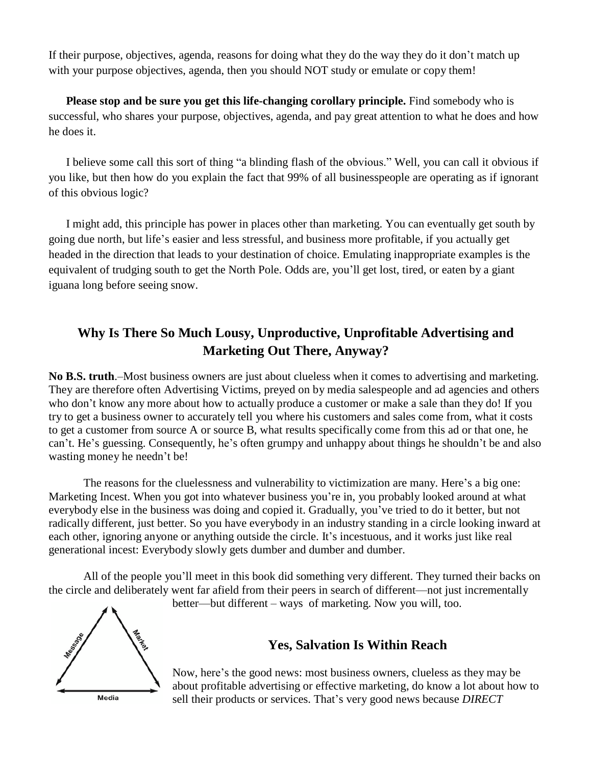If their purpose, objectives, agenda, reasons for doing what they do the way they do it don't match up with your purpose objectives, agenda, then you should NOT study or emulate or copy them!

**Please stop and be sure you get this life-changing corollary principle.** Find somebody who is successful, who shares your purpose, objectives, agenda, and pay great attention to what he does and how he does it.

I believe some call this sort of thing "a blinding flash of the obvious." Well, you can call it obvious if you like, but then how do you explain the fact that 99% of all businesspeople are operating as if ignorant of this obvious logic?

I might add, this principle has power in places other than marketing. You can eventually get south by going due north, but life's easier and less stressful, and business more profitable, if you actually get headed in the direction that leads to your destination of choice. Emulating inappropriate examples is the equivalent of trudging south to get the North Pole. Odds are, you'll get lost, tired, or eaten by a giant iguana long before seeing snow.

# **Why Is There So Much Lousy, Unproductive, Unprofitable Advertising and Marketing Out There, Anyway?**

**No B.S. truth**.–Most business owners are just about clueless when it comes to advertising and marketing. They are therefore often Advertising Victims, preyed on by media salespeople and ad agencies and others who don't know any more about how to actually produce a customer or make a sale than they do! If you try to get a business owner to accurately tell you where his customers and sales come from, what it costs to get a customer from source A or source B, what results specifically come from this ad or that one, he can't. He's guessing. Consequently, he's often grumpy and unhappy about things he shouldn't be and also wasting money he needn't be!

The reasons for the cluelessness and vulnerability to victimization are many. Here's a big one: Marketing Incest. When you got into whatever business you're in, you probably looked around at what everybody else in the business was doing and copied it. Gradually, you've tried to do it better, but not radically different, just better. So you have everybody in an industry standing in a circle looking inward at each other, ignoring anyone or anything outside the circle. It's incestuous, and it works just like real generational incest: Everybody slowly gets dumber and dumber and dumber.

All of the people you'll meet in this book did something very different. They turned their backs on the circle and deliberately went far afield from their peers in search of different—not just incrementally

better—but different – ways of marketing. Now you will, too.



## **Yes, Salvation Is Within Reach**

Now, here's the good news: most business owners, clueless as they may be about profitable advertising or effective marketing, do know a lot about how to sell their products or services. That's very good news because *DIRECT*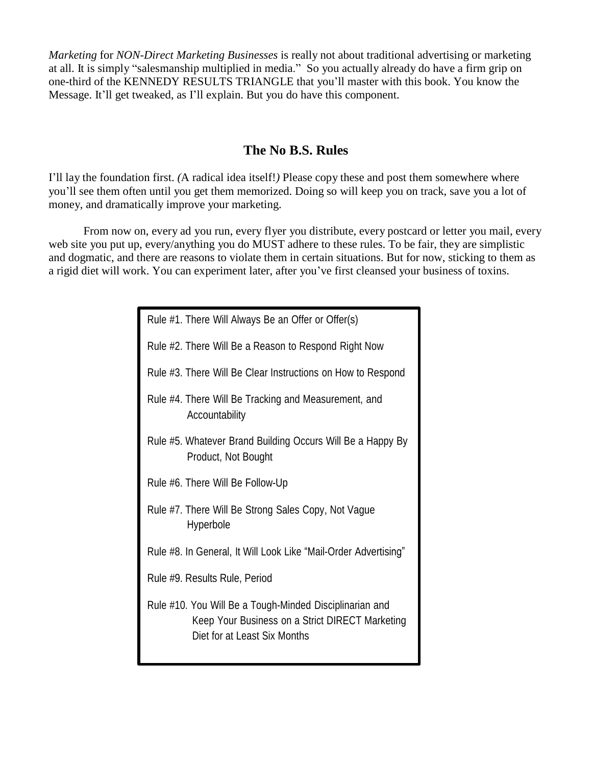*Marketing* for *NON-Direct Marketing Businesses* is really not about traditional advertising or marketing at all. It is simply "salesmanship multiplied in media." So you actually already do have a firm grip on one-third of the KENNEDY RESULTS TRIANGLE that you'll master with this book. You know the Message. It'll get tweaked, as I'll explain. But you do have this component.

### **The No B.S. Rules**

I'll lay the foundation first. *(*A radical idea itself!*)* Please copy these and post them somewhere where you'll see them often until you get them memorized. Doing so will keep you on track, save you a lot of money, and dramatically improve your marketing.

From now on, every ad you run, every flyer you distribute, every postcard or letter you mail, every web site you put up, every/anything you do MUST adhere to these rules. To be fair, they are simplistic and dogmatic, and there are reasons to violate them in certain situations. But for now, sticking to them as a rigid diet will work. You can experiment later, after you've first cleansed your business of toxins.

| Rule #1. There Will Always Be an Offer or Offer(s)                                                                                         |
|--------------------------------------------------------------------------------------------------------------------------------------------|
| Rule #2. There Will Be a Reason to Respond Right Now                                                                                       |
| Rule #3. There Will Be Clear Instructions on How to Respond                                                                                |
| Rule #4. There Will Be Tracking and Measurement, and<br>Accountability                                                                     |
| Rule #5. Whatever Brand Building Occurs Will Be a Happy By<br>Product, Not Bought                                                          |
| Rule #6. There Will Be Follow-Up                                                                                                           |
| Rule #7. There Will Be Strong Sales Copy, Not Vague<br>Hyperbole                                                                           |
| Rule #8. In General, It Will Look Like "Mail-Order Advertising"                                                                            |
| Rule #9. Results Rule, Period                                                                                                              |
| Rule #10. You Will Be a Tough-Minded Disciplinarian and<br>Keep Your Business on a Strict DIRECT Marketing<br>Diet for at Least Six Months |